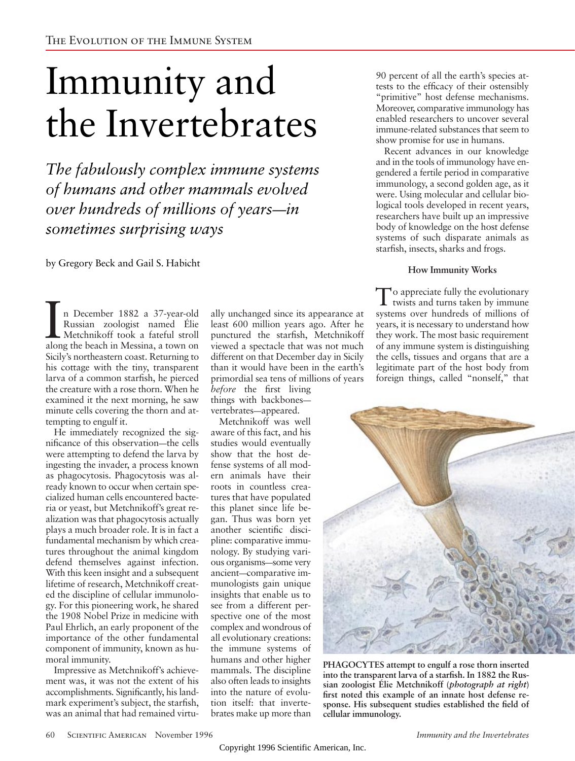# Immunity and the Invertebrates

*The fabulously complex immune systems of humans and other mammals evolved over hundreds of millions of years—in sometimes surprising ways*

by Gregory Beck and Gail S. Habicht

In December 1882 a 37-year-old<br>Russian zoologist named Élie<br>Metchnikoff took a fateful stroll<br>along the beach in Messina, a town on n December 1882 a 37-year-old Russian zoologist named Élie Metchnikoff took a fateful stroll Sicily's northeastern coast. Returning to his cottage with the tiny, transparent larva of a common starfish, he pierced the creature with a rose thorn. When he examined it the next morning, he saw minute cells covering the thorn and attempting to engulf it.

He immediately recognized the significance of this observation—the cells were attempting to defend the larva by ingesting the invader, a process known as phagocytosis. Phagocytosis was already known to occur when certain specialized human cells encountered bacteria or yeast, but Metchnikoff's great realization was that phagocytosis actually plays a much broader role. It is in fact a fundamental mechanism by which creatures throughout the animal kingdom defend themselves against infection. With this keen insight and a subsequent lifetime of research, Metchnikoff created the discipline of cellular immunology. For this pioneering work, he shared the 1908 Nobel Prize in medicine with Paul Ehrlich, an early proponent of the importance of the other fundamental component of immunity, known as humoral immunity.

Impressive as Metchnikoff's achievement was, it was not the extent of his accomplishments. Significantly, his landmark experiment's subject, the starfish, was an animal that had remained virtu-

ally unchanged since its appearance at least 600 million years ago. After he punctured the starfish, Metchnikoff viewed a spectacle that was not much different on that December day in Sicily than it would have been in the earth's primordial sea tens of millions of years *before* the first living things with backbones vertebrates—appeared.

Metchnikoff was well aware of this fact, and his studies would eventually show that the host defense systems of all modern animals have their roots in countless creatures that have populated this planet since life began. Thus was born yet another scientific discipline: comparative immunology. By studying various organisms—some very ancient—comparative immunologists gain unique insights that enable us to see from a different perspective one of the most complex and wondrous of all evolutionary creations: the immune systems of humans and other higher mammals. The discipline also often leads to insights into the nature of evolution itself: that invertebrates make up more than

90 percent of all the earth's species attests to the efficacy of their ostensibly "primitive" host defense mechanisms. Moreover, comparative immunology has enabled researchers to uncover several immune-related substances that seem to show promise for use in humans.

Recent advances in our knowledge and in the tools of immunology have engendered a fertile period in comparative immunology, a second golden age, as it were. Using molecular and cellular biological tools developed in recent years, researchers have built up an impressive body of knowledge on the host defense systems of such disparate animals as starfish, insects, sharks and frogs.

### **How Immunity Works**

To appreciate fully the evolutionary<br>twists and turns taken by immune systems over hundreds of millions of years, it is necessary to understand how they work. The most basic requirement of any immune system is distinguishing the cells, tissues and organs that are a legitimate part of the host body from foreign things, called "nonself," that



**PHAGOCYTES attempt to engulf a rose thorn inserted into the transparent larva of a starfish. In 1882 the Russian zoologist Élie Metchnikoff (***photograph at right***) first noted this example of an innate host defense response. His subsequent studies established the field of cellular immunology.**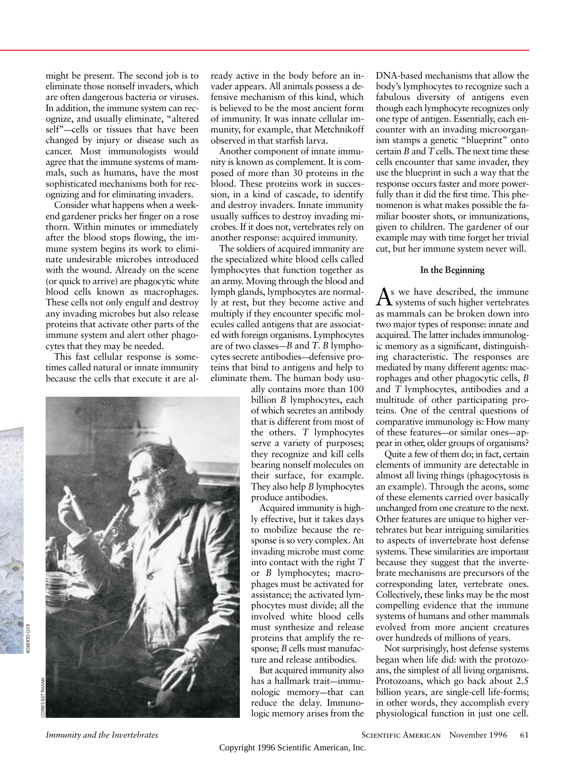might be present. The second job is to eliminate those nonself invaders, which are often dangerous bacteria or viruses. In addition, the immune system can recognize, and usually eliminate, "altered self"—cells or tissues that have been changed by injury or disease such as cancer. Most immunologists would agree that the immune systems of mammals, such as humans, have the most sophisticated mechanisms both for recognizing and for eliminating invaders.

Consider what happens when a weekend gardener pricks her finger on a rose thorn. Within minutes or immediately after the blood stops flowing, the immune system begins its work to eliminate undesirable microbes introduced with the wound. Already on the scene (or quick to arrive) are phagocytic white blood cells known as macrophages. These cells not only engulf and destroy any invading microbes but also release proteins that activate other parts of the immune system and alert other phagocytes that they may be needed.

This fast cellular response is sometimes called natural or innate immunity because the cells that execute it are al-



ready active in the body before an invader appears. All animals possess a defensive mechanism of this kind, which is believed to be the most ancient form of immunity. It was innate cellular immunity, for example, that Metchnikoff observed in that starfish larva.

Another component of innate immunity is known as complement. It is composed of more than 30 proteins in the blood. These proteins work in succession, in a kind of cascade, to identify and destroy invaders. Innate immunity usually suffices to destroy invading microbes. If it does not, vertebrates rely on another response: acquired immunity.

The soldiers of acquired immunity are the specialized white blood cells called lymphocytes that function together as an army. Moving through the blood and lymph glands, lymphocytes are normally at rest, but they become active and multiply if they encounter specific molecules called antigens that are associated with foreign organisms. Lymphocytes are of two classes—*B* and *T*. *B* lymphocytes secrete antibodies—defensive proteins that bind to antigens and help to eliminate them. The human body usu-

ally contains more than 100 billion *B* lymphocytes, each of which secretes an antibody that is different from most of the others. *T* lymphocytes serve a variety of purposes; they recognize and kill cells bearing nonself molecules on their surface, for example. They also help *B* lymphocytes produce antibodies.

Acquired immunity is highly effective, but it takes days to mobilize because the response is so very complex. An invading microbe must come into contact with the right *T* or *B* lymphocytes; macrophages must be activated for assistance; the activated lymphocytes must divide; all the involved white blood cells must synthesize and release proteins that amplify the response; *B* cells must manufacture and release antibodies.

But acquired immunity also has a hallmark trait—immunologic memory—that can reduce the delay. Immunologic memory arises from the DNA-based mechanisms that allow the body's lymphocytes to recognize such a fabulous diversity of antigens even though each lymphocyte recognizes only one type of antigen. Essentially, each encounter with an invading microorganism stamps a genetic "blueprint" onto certain *B* and *T* cells. The next time these cells encounter that same invader, they use the blueprint in such a way that the response occurs faster and more powerfully than it did the first time. This phenomenon is what makes possible the familiar booster shots, or immunizations, given to children. The gardener of our example may with time forget her trivial cut, but her immune system never will.

#### **In the Beginning**

 $A$ s we have described, the immune systems of such higher vertebrates as mammals can be broken down into two major types of response: innate and acquired. The latter includes immunologic memory as a significant, distinguishing characteristic. The responses are mediated by many different agents: macrophages and other phagocytic cells, *B* and *T* lymphocytes, antibodies and a multitude of other participating proteins. One of the central questions of comparative immunology is: How many of these features—or similar ones—appear in other, older groups of organisms?

Quite a few of them do; in fact, certain elements of immunity are detectable in almost all living things (phagocytosis is an example). Through the aeons, some of these elements carried over basically unchanged from one creature to the next. Other features are unique to higher vertebrates but bear intriguing similarities to aspects of invertebrate host defense systems. These similarities are important because they suggest that the invertebrate mechanisms are precursors of the corresponding later, vertebrate ones. Collectively, these links may be the most compelling evidence that the immune systems of humans and other mammals evolved from more ancient creatures over hundreds of millions of years.

Not surprisingly, host defense systems began when life did: with the protozoans, the simplest of all living organisms. Protozoans, which go back about 2.5 billion years, are single-cell life-forms; in other words, they accomplish every physiological function in just one cell.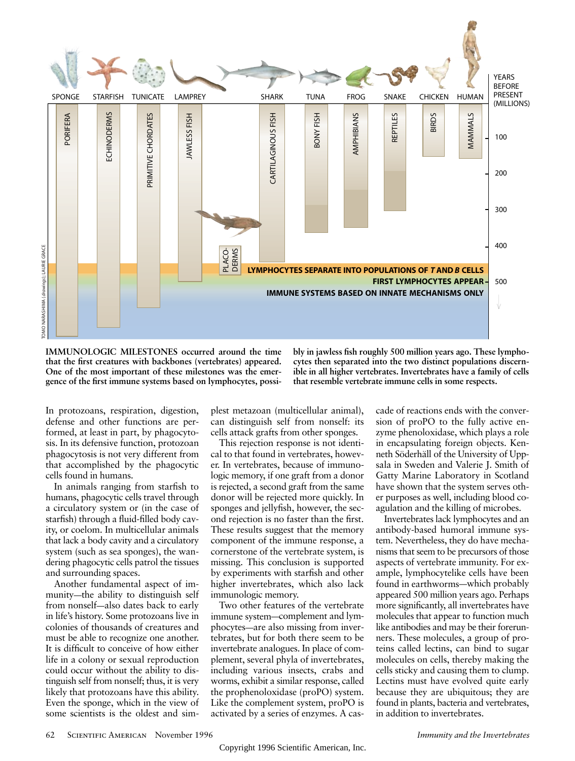

**IMMUNOLOGIC MILESTONES occurred around the time that the first creatures with backbones (vertebrates) appeared. One of the most important of these milestones was the emergence of the first immune systems based on lymphocytes, possi-**

**bly in jawless fish roughly 500 million years ago. These lymphocytes then separated into the two distinct populations discernible in all higher vertebrates. Invertebrates have a family of cells that resemble vertebrate immune cells in some respects.**

In protozoans, respiration, digestion, defense and other functions are performed, at least in part, by phagocytosis. In its defensive function, protozoan phagocytosis is not very different from that accomplished by the phagocytic cells found in humans.

In animals ranging from starfish to humans, phagocytic cells travel through a circulatory system or (in the case of starfish) through a fluid-filled body cavity, or coelom. In multicellular animals that lack a body cavity and a circulatory system (such as sea sponges), the wandering phagocytic cells patrol the tissues and surrounding spaces.

Another fundamental aspect of immunity—the ability to distinguish self from nonself—also dates back to early in life's history. Some protozoans live in colonies of thousands of creatures and must be able to recognize one another. It is difficult to conceive of how either life in a colony or sexual reproduction could occur without the ability to distinguish self from nonself; thus, it is very likely that protozoans have this ability. Even the sponge, which in the view of some scientists is the oldest and sim-

plest metazoan (multicellular animal), can distinguish self from nonself: its cells attack grafts from other sponges.

This rejection response is not identical to that found in vertebrates, however. In vertebrates, because of immunologic memory, if one graft from a donor is rejected, a second graft from the same donor will be rejected more quickly. In sponges and jellyfish, however, the second rejection is no faster than the first. These results suggest that the memory component of the immune response, a cornerstone of the vertebrate system, is missing. This conclusion is supported by experiments with starfish and other higher invertebrates, which also lack immunologic memory.

Two other features of the vertebrate immune system—complement and lymphocytes—are also missing from invertebrates, but for both there seem to be invertebrate analogues. In place of complement, several phyla of invertebrates, including various insects, crabs and worms, exhibit a similar response, called the prophenoloxidase (proPO) system. Like the complement system, proPO is activated by a series of enzymes. A cascade of reactions ends with the conversion of proPO to the fully active enzyme phenoloxidase, which plays a role in encapsulating foreign objects. Kenneth Söderhäll of the University of Uppsala in Sweden and Valerie J. Smith of Gatty Marine Laboratory in Scotland have shown that the system serves other purposes as well, including blood coagulation and the killing of microbes.

Invertebrates lack lymphocytes and an antibody-based humoral immune system. Nevertheless, they do have mechanisms that seem to be precursors of those aspects of vertebrate immunity. For example, lymphocytelike cells have been found in earthworms—which probably appeared 500 million years ago. Perhaps more significantly, all invertebrates have molecules that appear to function much like antibodies and may be their forerunners. These molecules, a group of proteins called lectins, can bind to sugar molecules on cells, thereby making the cells sticky and causing them to clump. Lectins must have evolved quite early because they are ubiquitous; they are found in plants, bacteria and vertebrates, in addition to invertebrates.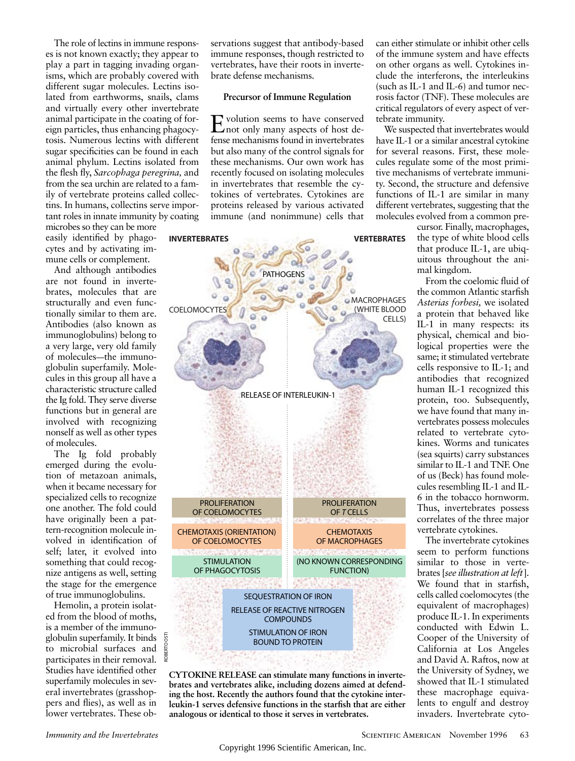The role of lectins in immune responses is not known exactly; they appear to play a part in tagging invading organisms, which are probably covered with different sugar molecules. Lectins isolated from earthworms, snails, clams and virtually every other invertebrate animal participate in the coating of foreign particles, thus enhancing phagocytosis. Numerous lectins with different sugar specificities can be found in each animal phylum. Lectins isolated from the flesh fly, *Sarcophaga peregrina,* and from the sea urchin are related to a family of vertebrate proteins called collectins. In humans, collectins serve important roles in innate immunity by coating

microbes so they can be more easily identified by phagocytes and by activating immune cells or complement.

And although antibodies are not found in invertebrates, molecules that are structurally and even functionally similar to them are. Antibodies (also known as immunoglobulins) belong to a very large, very old family of molecules—the immunoglobulin superfamily. Molecules in this group all have a characteristic structure called the Ig fold. They serve diverse functions but in general are involved with recognizing nonself as well as other types of molecules.

The Ig fold probably emerged during the evolution of metazoan animals, when it became necessary for specialized cells to recognize one another. The fold could have originally been a pattern-recognition molecule involved in identification of self; later, it evolved into something that could recognize antigens as well, setting the stage for the emergence of true immunoglobulins.

Hemolin, a protein isolated from the blood of moths, is a member of the immunoglobulin superfamily. It binds to microbial surfaces and participates in their removal. Studies have identified other superfamily molecules in several invertebrates (grasshoppers and flies), as well as in lower vertebrates. These observations suggest that antibody-based immune responses, though restricted to vertebrates, have their roots in invertebrate defense mechanisms.

#### **Precursor of Immune Regulation**

Evolution seems to have conserved not only many aspects of host defense mechanisms found in invertebrates but also many of the control signals for these mechanisms. Our own work has recently focused on isolating molecules in invertebrates that resemble the cytokines of vertebrates. Cytokines are proteins released by various activated immune (and nonimmune) cells that



can either stimulate or inhibit other cells of the immune system and have effects on other organs as well. Cytokines include the interferons, the interleukins (such as IL-1 and IL-6) and tumor necrosis factor (TNF). These molecules are critical regulators of every aspect of vertebrate immunity.

We suspected that invertebrates would have IL-1 or a similar ancestral cytokine for several reasons. First, these molecules regulate some of the most primitive mechanisms of vertebrate immunity. Second, the structure and defensive functions of IL-1 are similar in many different vertebrates, suggesting that the molecules evolved from a common pre-

cursor. Finally, macrophages, the type of white blood cells that produce IL-1, are ubiquitous throughout the animal kingdom.

From the coelomic fluid of the common Atlantic starfish *Asterias forbesi,* we isolated a protein that behaved like IL-1 in many respects: its physical, chemical and biological properties were the same; it stimulated vertebrate cells responsive to IL-1; and antibodies that recognized human IL-1 recognized this protein, too. Subsequently, we have found that many invertebrates possess molecules related to vertebrate cytokines. Worms and tunicates (sea squirts) carry substances similar to IL-1 and TNF. One of us (Beck) has found molecules resembling IL-1 and IL-6 in the tobacco hornworm. Thus, invertebrates possess correlates of the three major vertebrate cytokines.

The invertebrate cytokines seem to perform functions similar to those in vertebrates [*see illustration at left*]. We found that in starfish, cells called coelomocytes (the equivalent of macrophages) produce IL-1. In experiments conducted with Edwin L. Cooper of the University of California at Los Angeles and David A. Raftos, now at the University of Sydney, we showed that IL-1 stimulated these macrophage equivalents to engulf and destroy invaders. Invertebrate cyto-

**leukin-1 serves defensive functions in the starfish that are either**

**analogous or identical to those it serves in vertebrates.**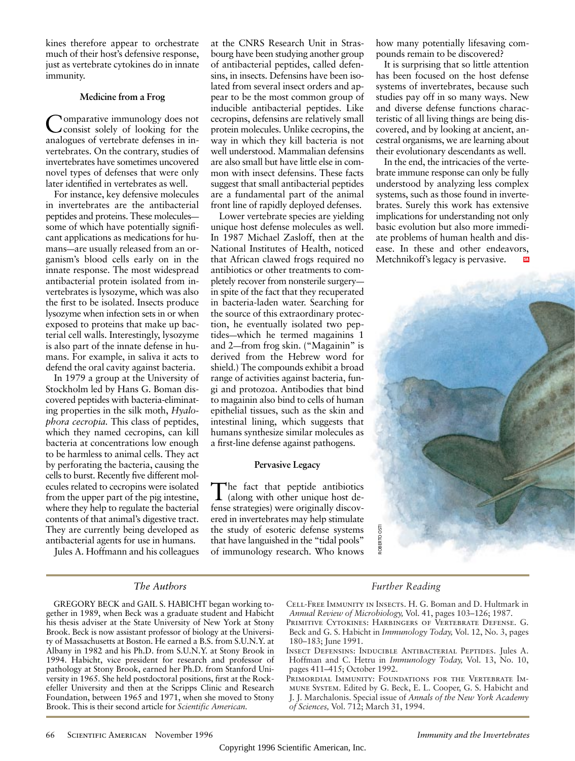kines therefore appear to orchestrate much of their host's defensive response, just as vertebrate cytokines do in innate immunity.

#### **Medicine from a Frog**

Comparative immunology does not<br>Consist solely of looking for the analogues of vertebrate defenses in invertebrates. On the contrary, studies of invertebrates have sometimes uncovered novel types of defenses that were only later identified in vertebrates as well.

For instance, key defensive molecules in invertebrates are the antibacterial peptides and proteins. These molecules some of which have potentially significant applications as medications for humans—are usually released from an organism's blood cells early on in the innate response. The most widespread antibacterial protein isolated from invertebrates is lysozyme, which was also the first to be isolated. Insects produce lysozyme when infection sets in or when exposed to proteins that make up bacterial cell walls. Interestingly, lysozyme is also part of the innate defense in humans. For example, in saliva it acts to defend the oral cavity against bacteria.

In 1979 a group at the University of Stockholm led by Hans G. Boman discovered peptides with bacteria-eliminating properties in the silk moth, *Hyalophora cecropia.* This class of peptides, which they named cecropins, can kill bacteria at concentrations low enough to be harmless to animal cells. They act by perforating the bacteria, causing the cells to burst. Recently five different molecules related to cecropins were isolated from the upper part of the pig intestine, where they help to regulate the bacterial contents of that animal's digestive tract. They are currently being developed as antibacterial agents for use in humans.

Jules A. Hoffmann and his colleagues

at the CNRS Research Unit in Strasbourg have been studying another group of antibacterial peptides, called defensins, in insects. Defensins have been isolated from several insect orders and appear to be the most common group of inducible antibacterial peptides. Like cecropins, defensins are relatively small protein molecules. Unlike cecropins, the way in which they kill bacteria is not well understood. Mammalian defensins are also small but have little else in common with insect defensins. These facts suggest that small antibacterial peptides are a fundamental part of the animal front line of rapidly deployed defenses.

Lower vertebrate species are yielding unique host defense molecules as well. In 1987 Michael Zasloff, then at the National Institutes of Health, noticed that African clawed frogs required no antibiotics or other treatments to completely recover from nonsterile surgery in spite of the fact that they recuperated in bacteria-laden water. Searching for the source of this extraordinary protection, he eventually isolated two peptides—which he termed magainins 1 and 2—from frog skin. ("Magainin" is derived from the Hebrew word for shield.) The compounds exhibit a broad range of activities against bacteria, fungi and protozoa. Antibodies that bind to magainin also bind to cells of human epithelial tissues, such as the skin and intestinal lining, which suggests that humans synthesize similar molecules as a first-line defense against pathogens.

#### **Pervasive Legacy**

The fact that peptide antibiotics  $\perp$  (along with other unique host defense strategies) were originally discovered in invertebrates may help stimulate the study of esoteric defense systems that have languished in the "tidal pools" of immunology research. Who knows

how many potentially lifesaving compounds remain to be discovered?

It is surprising that so little attention has been focused on the host defense systems of invertebrates, because such studies pay off in so many ways. New and diverse defense functions characteristic of all living things are being discovered, and by looking at ancient, ancestral organisms, we are learning about their evolutionary descendants as well.

In the end, the intricacies of the vertebrate immune response can only be fully understood by analyzing less complex systems, such as those found in invertebrates. Surely this work has extensive implications for understanding not only basic evolution but also more immediate problems of human health and disease. In these and other endeavors, Metchnikoff's legacy is pervasive. SA



#### *The Authors*

GREGORY BECK and GAIL S. HABICHT began working together in 1989, when Beck was a graduate student and Habicht his thesis adviser at the State University of New York at Stony Brook. Beck is now assistant professor of biology at the University of Massachusetts at Boston. He earned a B.S. from S.U.N.Y. at Albany in 1982 and his Ph.D. from S.U.N.Y. at Stony Brook in 1994. Habicht, vice president for research and professor of pathology at Stony Brook, earned her Ph.D. from Stanford University in 1965. She held postdoctoral positions, first at the Rockefeller University and then at the Scripps Clinic and Research Foundation, between 1965 and 1971, when she moved to Stony Brook. This is their second article for *Scientific American.*

#### *Further Reading*

Cell-Free Immunity in Insects. H. G. Boman and D. Hultmark in *Annual Review of Microbiology,* Vol. 41, pages 103–126; 1987.

PRIMITIVE CYTOKINES: HARBINGERS OF VERTEBRATE DEFENSE. G. Beck and G. S. Habicht in *Immunology Today,* Vol. 12, No. 3, pages 180–183; June 1991.

Insect Defensins: Inducible Antibacterial Peptides. Jules A. Hoffman and C. Hetru in *Immunology Today,* Vol. 13, No. 10, pages 411–415; October 1992.

PRIMORDIAL IMMUNITY: FOUNDATIONS FOR THE VERTEBRATE IMmune System. Edited by G. Beck, E. L. Cooper, G. S. Habicht and J. J. Marchalonis. Special issue of *Annals of the New York Academy of Sciences,* Vol. 712; March 31, 1994.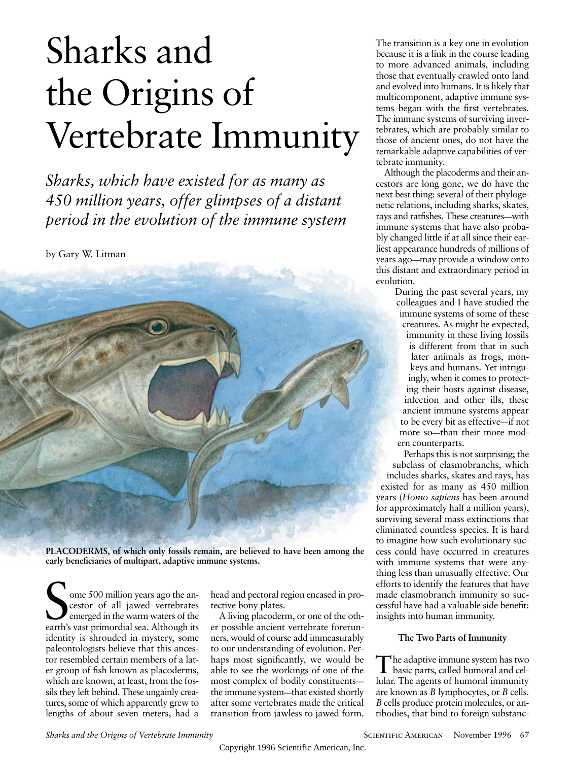## Sharks and the Origins of Vertebrate Immunity

*Sharks, which have existed for as many as 450 million years, offer glimpses of a distant period in the evolution of the immune system*

by Gary W. Litman



**PLACODERMS, of which only fossils remain, are believed to have been among the early beneficiaries of multipart, adaptive immune systems.**

Some 500 million years ago the an-<br>cestor of all jawed vertebrates<br>earth's vast primordial sea. Although its cestor of all jawed vertebrates emerged in the warm waters of the earth's vast primordial sea. Although its identity is shrouded in mystery, some paleontologists believe that this ancestor resembled certain members of a later group of fish known as placoderms, which are known, at least, from the fossils they left behind. These ungainly creatures, some of which apparently grew to lengths of about seven meters, had a

head and pectoral region encased in protective bony plates.

A living placoderm, or one of the other possible ancient vertebrate forerunners, would of course add immeasurably to our understanding of evolution. Perhaps most significantly, we would be able to see the workings of one of the most complex of bodily constituents the immune system—that existed shortly after some vertebrates made the critical transition from jawless to jawed form.

The transition is a key one in evolution because it is a link in the course leading to more advanced animals, including those that eventually crawled onto land and evolved into humans. It is likely that multicomponent, adaptive immune systems began with the first vertebrates. The immune systems of surviving invertebrates, which are probably similar to those of ancient ones, do not have the remarkable adaptive capabilities of vertebrate immunity.

Although the placoderms and their ancestors are long gone, we do have the next best thing: several of their phylogenetic relations, including sharks, skates, rays and ratfishes. These creatures—with immune systems that have also probably changed little if at all since their earliest appearance hundreds of millions of years ago—may provide a window onto this distant and extraordinary period in evolution.

> During the past several years, my colleagues and I have studied the immune systems of some of these creatures. As might be expected, immunity in these living fossils is different from that in such later animals as frogs, monkeys and humans. Yet intriguingly, when it comes to protecting their hosts against disease, infection and other ills, these ancient immune systems appear to be every bit as effective—if not more so—than their more modern counterparts.

Perhaps this is not surprising; the subclass of elasmobranchs, which includes sharks, skates and rays, has existed for as many as 450 million years (*Homo sapiens* has been around for approximately half a million years), surviving several mass extinctions that eliminated countless species. It is hard to imagine how such evolutionary success could have occurred in creatures with immune systems that were anything less than unusually effective. Our efforts to identify the features that have made elasmobranch immunity so successful have had a valuable side benefit: insights into human immunity.

#### **The Two Parts of Immunity**

The adaptive immune system has two basic parts, called humoral and cellular. The agents of humoral immunity are known as *B* lymphocytes, or *B* cells. *B* cells produce protein molecules, or antibodies, that bind to foreign substanc-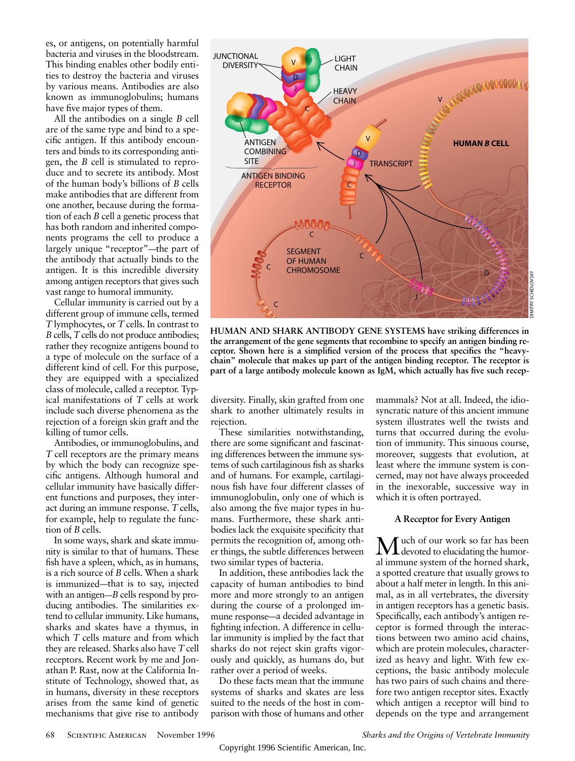es, or antigens, on potentially harmful bacteria and viruses in the bloodstream. This binding enables other bodily entities to destroy the bacteria and viruses by various means. Antibodies are also known as immunoglobulins; humans have five major types of them.

All the antibodies on a single *B* cell are of the same type and bind to a specific antigen. If this antibody encounters and binds to its corresponding antigen, the *B* cell is stimulated to reproduce and to secrete its antibody. Most of the human body's billions of *B* cells make antibodies that are different from one another, because during the formation of each *B* cell a genetic process that has both random and inherited components programs the cell to produce a largely unique "receptor"—the part of the antibody that actually binds to the antigen. It is this incredible diversity among antigen receptors that gives such vast range to humoral immunity.

Cellular immunity is carried out by a different group of immune cells, termed *T* lymphocytes, or *T* cells. In contrast to *B* cells, *T* cells do not produce antibodies; rather they recognize antigens bound to a type of molecule on the surface of a different kind of cell. For this purpose, they are equipped with a specialized class of molecule, called a receptor. Typical manifestations of *T* cells at work include such diverse phenomena as the rejection of a foreign skin graft and the killing of tumor cells.

Antibodies, or immunoglobulins, and *T* cell receptors are the primary means by which the body can recognize specific antigens. Although humoral and cellular immunity have basically different functions and purposes, they interact during an immune response. *T* cells, for example, help to regulate the function of *B* cells.

In some ways, shark and skate immunity is similar to that of humans. These fish have a spleen, which, as in humans, is a rich source of *B* cells. When a shark is immunized—that is to say, injected with an antigen—*B* cells respond by producing antibodies. The similarities extend to cellular immunity. Like humans, sharks and skates have a thymus, in which *T* cells mature and from which they are released. Sharks also have *T* cell receptors. Recent work by me and Jonathan P. Rast, now at the California Institute of Technology, showed that, as in humans, diversity in these receptors arises from the same kind of genetic mechanisms that give rise to antibody



**HUMAN AND SHARK ANTIBODY GENE SYSTEMS have striking differences in the arrangement of the gene segments that recombine to specify an antigen binding receptor. Shown here is a simplified version of the process that specifies the "heavychain" molecule that makes up part of the antigen binding receptor. The receptor is part of a large antibody molecule known as IgM, which actually has five such recep-**

diversity. Finally, skin grafted from one shark to another ultimately results in rejection.

These similarities notwithstanding, there are some significant and fascinating differences between the immune systems of such cartilaginous fish as sharks and of humans. For example, cartilaginous fish have four different classes of immunoglobulin, only one of which is also among the five major types in humans. Furthermore, these shark antibodies lack the exquisite specificity that permits the recognition of, among other things, the subtle differences between two similar types of bacteria.

In addition, these antibodies lack the capacity of human antibodies to bind more and more strongly to an antigen during the course of a prolonged immune response—a decided advantage in fighting infection. A difference in cellular immunity is implied by the fact that sharks do not reject skin grafts vigorously and quickly, as humans do, but rather over a period of weeks.

Do these facts mean that the immune systems of sharks and skates are less suited to the needs of the host in comparison with those of humans and other mammals? Not at all. Indeed, the idiosyncratic nature of this ancient immune system illustrates well the twists and turns that occurred during the evolution of immunity. This sinuous course, moreover, suggests that evolution, at least where the immune system is concerned, may not have always proceeded in the inexorable, successive way in which it is often portrayed.

#### **A Receptor for Every Antigen**

Much of our work so far has been<br>devoted to elucidating the humoral immune system of the horned shark, a spotted creature that usually grows to about a half meter in length. In this animal, as in all vertebrates, the diversity in antigen receptors has a genetic basis. Specifically, each antibody's antigen receptor is formed through the interactions between two amino acid chains, which are protein molecules, characterized as heavy and light. With few exceptions, the basic antibody molecule has two pairs of such chains and therefore two antigen receptor sites. Exactly which antigen a receptor will bind to depends on the type and arrangement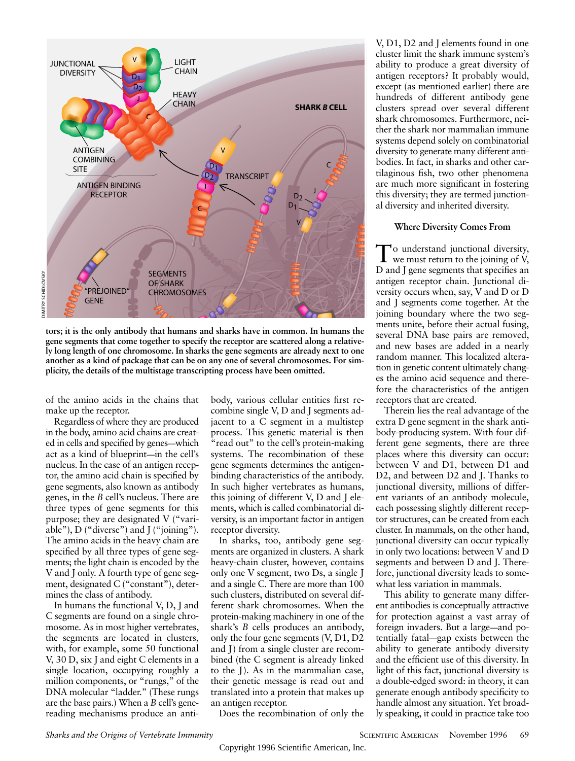

**tors; it is the only antibody that humans and sharks have in common. In humans the gene segments that come together to specify the receptor are scattered along a relatively long length of one chromosome. In sharks the gene segments are already next to one another as a kind of package that can be on any one of several chromosomes. For simplicity, the details of the multistage transcripting process have been omitted.**

of the amino acids in the chains that make up the receptor.

Regardless of where they are produced in the body, amino acid chains are created in cells and specified by genes—which act as a kind of blueprint—in the cell's nucleus. In the case of an antigen receptor, the amino acid chain is specified by gene segments, also known as antibody genes, in the *B* cell's nucleus. There are three types of gene segments for this purpose; they are designated V ("variable"),  $D$  ("diverse") and  $J$  ("joining"). The amino acids in the heavy chain are specified by all three types of gene segments; the light chain is encoded by the V and J only. A fourth type of gene segment, designated C ("constant"), determines the class of antibody.

In humans the functional V, D, J and C segments are found on a single chromosome. As in most higher vertebrates, the segments are located in clusters, with, for example, some 50 functional V, 30 D, six J and eight C elements in a single location, occupying roughly a million components, or "rungs," of the DNA molecular "ladder." (These rungs are the base pairs.) When a *B* cell's genereading mechanisms produce an anti-

body, various cellular entities first recombine single V, D and J segments adjacent to a C segment in a multistep process. This genetic material is then "read out" to the cell's protein-making systems. The recombination of these gene segments determines the antigenbinding characteristics of the antibody. In such higher vertebrates as humans, this joining of different V, D and J elements, which is called combinatorial diversity, is an important factor in antigen receptor diversity.

In sharks, too, antibody gene segments are organized in clusters. A shark heavy-chain cluster, however, contains only one V segment, two Ds, a single J and a single C. There are more than 100 such clusters, distributed on several different shark chromosomes. When the protein-making machinery in one of the shark's *B* cells produces an antibody, only the four gene segments (V, D1, D2 and J) from a single cluster are recombined (the C segment is already linked to the J). As in the mammalian case, their genetic message is read out and translated into a protein that makes up an antigen receptor.

Does the recombination of only the

V, D1, D2 and J elements found in one cluster limit the shark immune system's ability to produce a great diversity of antigen receptors? It probably would, except (as mentioned earlier) there are hundreds of different antibody gene clusters spread over several different shark chromosomes. Furthermore, neither the shark nor mammalian immune systems depend solely on combinatorial diversity to generate many different antibodies. In fact, in sharks and other cartilaginous fish, two other phenomena are much more significant in fostering this diversity; they are termed junctional diversity and inherited diversity.

#### **Where Diversity Comes From**

To understand junctional diversity, we must return to the joining of V, D and J gene segments that specifies an antigen receptor chain. Junctional diversity occurs when, say, V and D or D and J segments come together. At the joining boundary where the two segments unite, before their actual fusing, several DNA base pairs are removed, and new bases are added in a nearly random manner. This localized alteration in genetic content ultimately changes the amino acid sequence and therefore the characteristics of the antigen receptors that are created.

Therein lies the real advantage of the extra D gene segment in the shark antibody-producing system. With four different gene segments, there are three places where this diversity can occur: between V and D1, between D1 and D2, and between D2 and J. Thanks to junctional diversity, millions of different variants of an antibody molecule, each possessing slightly different receptor structures, can be created from each cluster. In mammals, on the other hand, junctional diversity can occur typically in only two locations: between V and D segments and between D and J. Therefore, junctional diversity leads to somewhat less variation in mammals.

This ability to generate many different antibodies is conceptually attractive for protection against a vast array of foreign invaders. But a large—and potentially fatal—gap exists between the ability to generate antibody diversity and the efficient use of this diversity. In light of this fact, junctional diversity is a double-edged sword: in theory, it can generate enough antibody specificity to handle almost any situation. Yet broadly speaking, it could in practice take too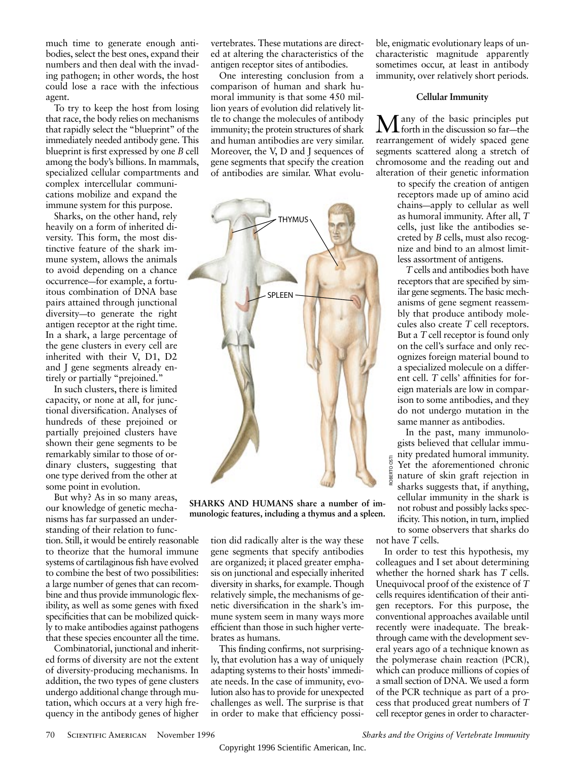much time to generate enough antibodies, select the best ones, expand their numbers and then deal with the invading pathogen; in other words, the host could lose a race with the infectious agent.

To try to keep the host from losing that race, the body relies on mechanisms that rapidly select the "blueprint" of the immediately needed antibody gene. This blueprint is first expressed by one *B* cell among the body's billions. In mammals, specialized cellular compartments and complex intercellular communications mobilize and expand the immune system for this purpose.

Sharks, on the other hand, rely heavily on a form of inherited diversity. This form, the most distinctive feature of the shark immune system, allows the animals to avoid depending on a chance occurrence—for example, a fortuitous combination of DNA base pairs attained through junctional diversity—to generate the right antigen receptor at the right time. In a shark, a large percentage of the gene clusters in every cell are inherited with their V, D1, D2 and J gene segments already entirely or partially "prejoined."

In such clusters, there is limited capacity, or none at all, for junctional diversification. Analyses of hundreds of these prejoined or partially prejoined clusters have shown their gene segments to be remarkably similar to those of ordinary clusters, suggesting that one type derived from the other at some point in evolution.

But why? As in so many areas, our knowledge of genetic mechanisms has far surpassed an understanding of their relation to function. Still, it would be entirely reasonable to theorize that the humoral immune systems of cartilaginous fish have evolved to combine the best of two possibilities: a large number of genes that can recombine and thus provide immunologic flexibility, as well as some genes with fixed specificities that can be mobilized quickly to make antibodies against pathogens that these species encounter all the time.

Combinatorial, junctional and inherited forms of diversity are not the extent of diversity-producing mechanisms. In addition, the two types of gene clusters undergo additional change through mutation, which occurs at a very high frequency in the antibody genes of higher

vertebrates. These mutations are directed at altering the characteristics of the antigen receptor sites of antibodies.

One interesting conclusion from a comparison of human and shark humoral immunity is that some 450 million years of evolution did relatively little to change the molecules of antibody immunity; the protein structures of shark and human antibodies are very similar. Moreover, the V, D and J sequences of gene segments that specify the creation of antibodies are similar. What evolu-



**SHARKS AND HUMANS share a number of immunologic features, including a thymus and a spleen.** 

> tion did radically alter is the way these gene segments that specify antibodies are organized; it placed greater emphasis on junctional and especially inherited diversity in sharks, for example. Though relatively simple, the mechanisms of genetic diversification in the shark's immune system seem in many ways more efficient than those in such higher vertebrates as humans.

> This finding confirms, not surprisingly, that evolution has a way of uniquely adapting systems to their hosts' immediate needs. In the case of immunity, evolution also has to provide for unexpected challenges as well. The surprise is that in order to make that efficiency possi

ble, enigmatic evolutionary leaps of uncharacteristic magnitude apparently sometimes occur, at least in antibody immunity, over relatively short periods.

#### **Cellular Immunity**

Many of the basic principles put forth in the discussion so far—the rearrangement of widely spaced gene segments scattered along a stretch of chromosome and the reading out and alteration of their genetic information

to specify the creation of antigen receptors made up of amino acid chains—apply to cellular as well as humoral immunity. After all, *T* cells, just like the antibodies secreted by *B* cells, must also recognize and bind to an almost limitless assortment of antigens.

*T* cells and antibodies both have receptors that are specified by similar gene segments. The basic mechanisms of gene segment reassembly that produce antibody molecules also create *T* cell receptors. But a *T* cell receptor is found only on the cell's surface and only recognizes foreign material bound to a specialized molecule on a different cell. *T* cells' affinities for foreign materials are low in comparison to some antibodies, and they do not undergo mutation in the same manner as antibodies.

In the past, many immunologists believed that cellular immunity predated humoral immunity. ROBERTO OSTI ROBERTO OSTI Yet the aforementioned chronic nature of skin graft rejection in sharks suggests that, if anything, cellular immunity in the shark is not robust and possibly lacks specificity. This notion, in turn, implied to some observers that sharks do not have *T* cells.

In order to test this hypothesis, my colleagues and I set about determining whether the horned shark has *T* cells. Unequivocal proof of the existence of *T* cells requires identification of their antigen receptors. For this purpose, the conventional approaches available until recently were inadequate. The breakthrough came with the development several years ago of a technique known as the polymerase chain reaction (PCR), which can produce millions of copies of a small section of DNA. We used a form of the PCR technique as part of a process that produced great numbers of *T* cell receptor genes in order to character